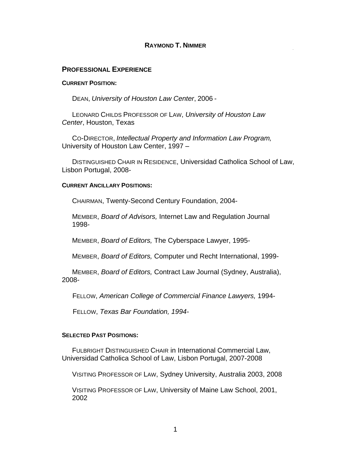#### **RAYMOND T. NIMMER**

#### **PROFESSIONAL EXPERIENCE**

#### **CURRENT POSITION:**

DEAN, *University of Houston Law Center*, 2006 -

LEONARD CHILDS PROFESSOR OF LAW, *University of Houston Law Center*, Houston, Texas

CO-DIRECTOR, *Intellectual Property and Information Law Program,*  University of Houston Law Center, 1997 –

DISTINGUISHED CHAIR IN RESIDENCE, Universidad Catholica School of Law, Lisbon Portugal, 2008-

#### **CURRENT ANCILLARY POSITIONS:**

CHAIRMAN, Twenty-Second Century Foundation, 2004-

MEMBER, *Board of Advisors,* Internet Law and Regulation Journal 1998-

MEMBER, *Board of Editors,* The Cyberspace Lawyer, 1995-

MEMBER, *Board of Editors,* Computer und Recht International, 1999-

MEMBER, *Board of Editors,* Contract Law Journal (Sydney, Australia), 2008-

FELLOW, *American College of Commercial Finance Lawyers,* 1994-

FELLOW, *Texas Bar Foundation, 1994-*

#### **SELECTED PAST POSITIONS:**

FULBRIGHT DISTINGUISHED CHAIR in International Commercial Law, Universidad Catholica School of Law, Lisbon Portugal, 2007-2008

VISITING PROFESSOR OF LAW, Sydney University, Australia 2003, 2008

VISITING PROFESSOR OF LAW, University of Maine Law School, 2001, 2002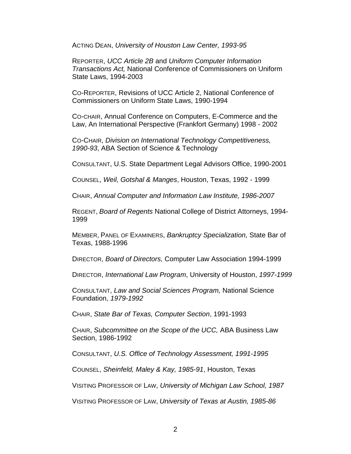ACTING DEAN, *University of Houston Law Center, 1993-95*

REPORTER, *UCC Article 2B* and *Uniform Computer Information Transactions Act,* National Conference of Commissioners on Uniform State Laws, 1994-2003

CO-REPORTER, Revisions of UCC Article 2, National Conference of Commissioners on Uniform State Laws, 1990-1994

CO-CHAIR, Annual Conference on Computers, E-Commerce and the Law, An International Perspective (Frankfort Germany) 1998 - 2002

CO-CHAIR, *Division on International Technology Competitiveness, 1990-93*, ABA Section of Science & Technology

CONSULTANT, U.S. State Department Legal Advisors Office, 1990-2001

COUNSEL, *Weil, Gotshal & Manges*, Houston, Texas, 1992 - 1999

CHAIR, *Annual Computer and Information Law Institute, 1986-2007*

REGENT, *Board of Regents* National College of District Attorneys, 1994- 1999

MEMBER, PANEL OF EXAMINERS, *Bankruptcy Specialization,* State Bar of Texas, 1988-1996

DIRECTOR, *Board of Directors,* Computer Law Association 1994-1999

DIRECTOR, *International Law Program*, University of Houston, *1997-1999*

CONSULTANT, *Law and Social Sciences Program,* National Science Foundation, *1979-1992*

CHAIR, *State Bar of Texas, Computer Section*, 1991-1993

CHAIR, *Subcommittee on the Scope of the UCC,* ABA Business Law Section, 1986-1992

CONSULTANT, *U.S. Office of Technology Assessment, 1991-1995*

COUNSEL, *Sheinfeld, Maley & Kay, 1985-91*, Houston, Texas

VISITING PROFESSOR OF LAW, *University of Michigan Law School, 1987*

VISITING PROFESSOR OF LAW, *University of Texas at Austin, 1985-86*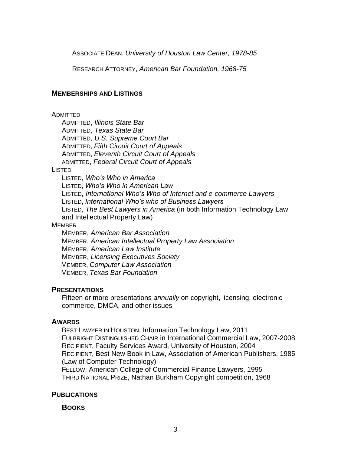ASSOCIATE DEAN, *University of Houston Law Center, 1978-85*

RESEARCH ATTORNEY, *American Bar Foundation, 1968-75*

### **MEMBERSHIPS AND LISTINGS**

#### ADMITTED

ADMITTED, *Illinois State Bar* ADMITTED, *Texas State Bar* ADMITTED, *U.S. Supreme Court Bar* ADMITTED, *Fifth Circuit Court of Appeals* ADMITTED, *Eleventh Circuit Court of Appeals* ADMITTED, *Federal Circuit Court of Appeals*

#### **LISTED**

LISTED, *Who's Who in America* LISTED, *Who's Who in American Law* LISTED, *International Who's Who of Internet and e-commerce Lawyers* LISTED, *International Who's who of Business Lawyers* LISTED, *The Best Lawyers in America* (in both Information Technology Law and Intellectual Property Law) **MEMBER** 

MEMBER, *American Bar Association* MEMBER, *American Intellectual Property Law Association* MEMBER, *American Law Institute* MEMBER, *Licensing Executives Society* MEMBER, *Computer Law Association* MEMBER, *Texas Bar Foundation*

## **PRESENTATIONS**

Fifteen or more presentations *annually* on copyright, licensing, electronic commerce, DMCA, and other issues

## **AWARDS**

BEST LAWYER IN HOUSTON, Information Technology Law, 2011 FULBRIGHT DISTINGUISHED CHAIR in International Commercial Law, 2007-2008 RECIPIENT, Faculty Services Award, University of Houston, 2004 RECIPIENT, Best New Book in Law, Association of American Publishers, 1985 (Law of Computer Technology)

FELLOW, American College of Commercial Finance Lawyers, 1995 THIRD NATIONAL PRIZE, Nathan Burkham Copyright competition, 1968

## **PUBLICATIONS**

**BOOKS**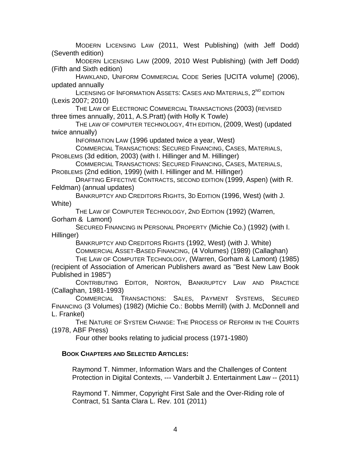MODERN LICENSING LAW (2011, West Publishing) (with Jeff Dodd) (Seventh edition)

MODERN LICENSING LAW (2009, 2010 West Publishing) (with Jeff Dodd) (Fifth and Sixth edition)

HAWKLAND, UNIFORM COMMERCIAL CODE Series [UCITA volume] (2006), updated annually

LICENSING OF INFORMATION ASSETS: CASES AND MATERIALS, 2<sup>ND</sup> EDITION (Lexis 2007; 2010)

THE LAW OF ELECTRONIC COMMERCIAL TRANSACTIONS (2003) (REVISED three times annually, 2011, A.S.Pratt) (with Holly K Towle)

THE LAW OF COMPUTER TECHNOLOGY, 4TH EDITION, (2009, West) (updated twice annually)

INFORMATION LAW (1996 updated twice a year, West)

COMMERCIAL TRANSACTIONS: SECURED FINANCING, CASES, MATERIALS,

PROBLEMS (3d edition, 2003) (with I. Hillinger and M. Hillinger)

COMMERCIAL TRANSACTIONS: SECURED FINANCING, CASES, MATERIALS, PROBLEMS (2nd edition, 1999) (with I. Hillinger and M. Hillinger)

DRAFTING EFFECTIVE CONTRACTS, SECOND EDITION (1999, Aspen) (with R. Feldman) (annual updates)

BANKRUPTCY AND CREDITORS RIGHTS, 3D EDITION (1996, West) (with J. White)

THE LAW OF COMPUTER TECHNOLOGY, 2ND EDITION (1992) (Warren, Gorham & Lamont)

SECURED FINANCING IN PERSONAL PROPERTY (Michie Co.) (1992) (with I. Hillinger)

BANKRUPTCY AND CREDITORS RIGHTS (1992, West) (with J. White)

COMMERCIAL ASSET-BASED FINANCING, (4 Volumes) (1989) (Callaghan)

THE LAW OF COMPUTER TECHNOLOGY, (Warren, Gorham & Lamont) (1985) (recipient of Association of American Publishers award as "Best New Law Book Published in 1985")

CONTRIBUTING EDITOR, NORTON, BANKRUPTCY LAW AND PRACTICE (Callaghan, 1981-1993)

COMMERCIAL TRANSACTIONS: SALES, PAYMENT SYSTEMS, SECURED FINANCING (3 Volumes) (1982) (Michie Co.: Bobbs Merrill) (with J. McDonnell and L. Frankel)

THE NATURE OF SYSTEM CHANGE: THE PROCESS OF REFORM IN THE COURTS (1978, ABF Press)

Four other books relating to judicial process (1971-1980)

## **BOOK CHAPTERS AND SELECTED ARTICLES:**

Raymond T. Nimmer, Information Wars and the Challenges of Content Protection in Digital Contexts, --- Vanderbilt J. Entertainment Law -- (2011)

Raymond T. Nimmer, Copyright First Sale and the Over-Riding role of Contract, 51 Santa Clara L. Rev. 101 (2011)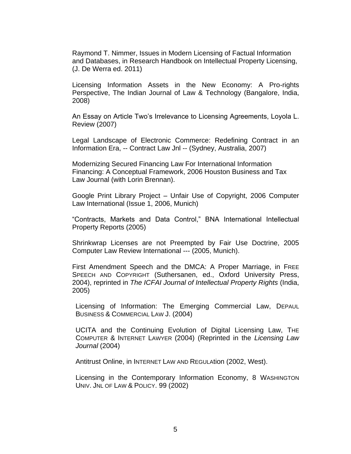Raymond T. Nimmer, Issues in Modern Licensing of Factual Information and Databases, in Research Handbook on Intellectual Property Licensing, (J. De Werra ed. 2011)

Licensing Information Assets in the New Economy: A Pro-rights Perspective, The Indian Journal of Law & Technology (Bangalore, India, 2008)

An Essay on Article Two's Irrelevance to Licensing Agreements, Loyola L. Review (2007)

Legal Landscape of Electronic Commerce: Redefining Contract in an Information Era, -- Contract Law Jnl -- (Sydney, Australia, 2007)

Modernizing Secured Financing Law For International Information Financing: A Conceptual Framework, 2006 Houston Business and Tax Law Journal (with Lorin Brennan).

Google Print Library Project – Unfair Use of Copyright, 2006 Computer Law International (Issue 1, 2006, Munich)

"Contracts, Markets and Data Control," BNA International Intellectual Property Reports (2005)

Shrinkwrap Licenses are not Preempted by Fair Use Doctrine, 2005 Computer Law Review International --- (2005, Munich).

First Amendment Speech and the DMCA: A Proper Marriage, in FREE SPEECH AND COPYRIGHT (Suthersanen, ed., Oxford University Press, 2004), reprinted in *The ICFAI Journal of Intellectual Property Rights* (India, 2005)

Licensing of Information: The Emerging Commercial Law, DEPAUL BUSINESS & COMMERCIAL LAW J. (2004)

UCITA and the Continuing Evolution of Digital Licensing Law, THE COMPUTER & INTERNET LAWYER (2004) (Reprinted in the *Licensing Law Journal* (2004)

Antitrust Online, in INTERNET LAW AND REGULAtion (2002, West).

Licensing in the Contemporary Information Economy, 8 WASHINGTON UNIV. JNL OF LAW & POLICY. 99 (2002)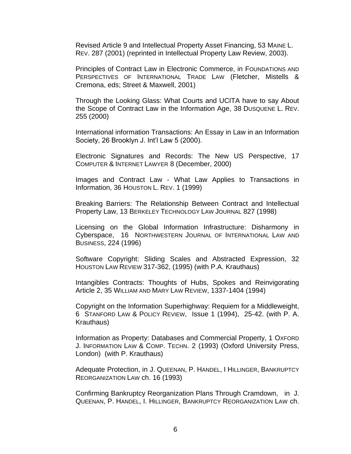Revised Article 9 and Intellectual Property Asset Financing, 53 MAINE L. REV. 287 (2001) (reprinted in Intellectual Property Law Review, 2003).

Principles of Contract Law in Electronic Commerce, in FOUNDATIONS AND PERSPECTIVES OF INTERNATIONAL TRADE LAW (Fletcher, Mistells & Cremona, eds; Street & Maxwell, 2001)

Through the Looking Glass: What Courts and UCITA have to say About the Scope of Contract Law in the Information Age, 38 DUSQUENE L. REV. 255 (2000)

International information Transactions: An Essay in Law in an Information Society, 26 Brooklyn J. Int'l Law 5 (2000).

Electronic Signatures and Records: The New US Perspective, 17 COMPUTER & INTERNET LAWYER 8 (December, 2000)

Images and Contract Law - What Law Applies to Transactions in Information, 36 HOUSTON L. REV. 1 (1999)

Breaking Barriers: The Relationship Between Contract and Intellectual Property Law, 13 BERKELEY TECHNOLOGY LAW JOURNAL 827 (1998)

Licensing on the Global Information Infrastructure: Disharmony in Cyberspace, 16 NORTHWESTERN JOURNAL OF INTERNATIONAL LAW AND BUSINESS, 224 (1996)

Software Copyright: Sliding Scales and Abstracted Expression, 32 HOUSTON LAW REVIEW 317-362, (1995) (with P.A. Krauthaus)

Intangibles Contracts: Thoughts of Hubs, Spokes and Reinvigorating Article 2, 35 WILLIAM AND MARY LAW REVIEW, 1337-1404 (1994)

Copyright on the Information Superhighway: Requiem for a Middleweight, 6 STANFORD LAW & POLICY REVIEW, Issue 1 (1994), 25-42. (with P. A. Krauthaus)

Information as Property: Databases and Commercial Property, 1 OXFORD J. INFORMATION LAW & COMP. TECHN. 2 (1993) (Oxford University Press, London) (with P. Krauthaus)

Adequate Protection, in J. QUEENAN, P. HANDEL, I HILLINGER, BANKRUPTCY REORGANIZATION LAW ch. 16 (1993)

Confirming Bankruptcy Reorganization Plans Through Cramdown, in J. QUEENAN, P. HANDEL, I. HILLINGER, BANKRUPTCY REORGANIZATION LAW ch.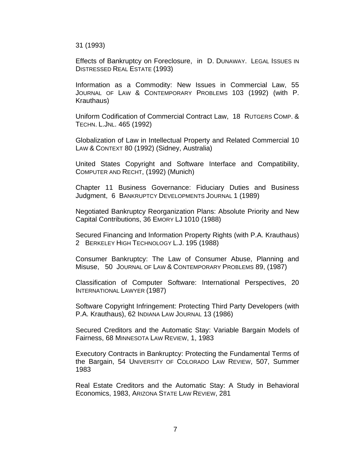31 (1993)

Effects of Bankruptcy on Foreclosure, in D. DUNAWAY. LEGAL ISSUES IN DISTRESSED REAL ESTATE (1993)

Information as a Commodity: New Issues in Commercial Law, 55 JOURNAL OF LAW & CONTEMPORARY PROBLEMS 103 (1992) (with P. Krauthaus)

Uniform Codification of Commercial Contract Law, 18 RUTGERS COMP. & TECHN. L.JNL. 465 (1992)

Globalization of Law in Intellectual Property and Related Commercial 10 LAW & CONTEXT 80 (1992) (Sidney, Australia)

United States Copyright and Software Interface and Compatibility, COMPUTER AND RECHT, (1992) (Munich)

Chapter 11 Business Governance: Fiduciary Duties and Business Judgment, 6 BANKRUPTCY DEVELOPMENTS JOURNAL 1 (1989)

Negotiated Bankruptcy Reorganization Plans: Absolute Priority and New Capital Contributions, 36 EMORY LJ 1010 (1988)

Secured Financing and Information Property Rights (with P.A. Krauthaus) 2 BERKELEY HIGH TECHNOLOGY L.J. 195 (1988)

Consumer Bankruptcy: The Law of Consumer Abuse, Planning and Misuse, 50 JOURNAL OF LAW & CONTEMPORARY PROBLEMS 89, (1987)

Classification of Computer Software: International Perspectives, 20 INTERNATIONAL LAWYER (1987)

Software Copyright Infringement: Protecting Third Party Developers (with P.A. Krauthaus), 62 INDIANA LAW JOURNAL 13 (1986)

Secured Creditors and the Automatic Stay: Variable Bargain Models of Fairness, 68 MINNESOTA LAW REVIEW, 1, 1983

Executory Contracts in Bankruptcy: Protecting the Fundamental Terms of the Bargain, 54 UNIVERSITY OF COLORADO LAW REVIEW, 507, Summer 1983

Real Estate Creditors and the Automatic Stay: A Study in Behavioral Economics, 1983, ARIZONA STATE LAW REVIEW, 281